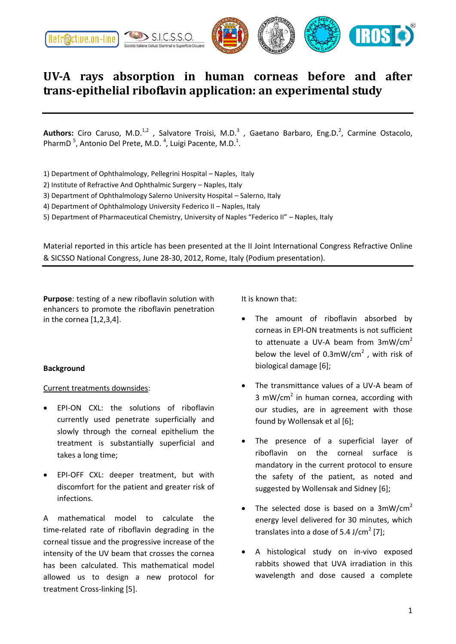

## **UV-A rays absorption in human corneas before and after trans-epithelial riboflavin application: an experimental study**

Authors: Ciro Caruso, M.D.<sup>1,2</sup>, Salvatore Troisi, M.D.<sup>3</sup>, Gaetano Barbaro, Eng.D.<sup>2</sup>, Carmine Ostacolo, PharmD<sup>5</sup>, Antonio Del Prete, M.D.<sup>4</sup>, Luigi Pacente, M.D.<sup>1</sup>.

- 1) Department of Ophthalmology, Pellegrini Hospital Naples, Italy
- 2) Institute of Refractive And Ophthalmic Surgery Naples, Italy
- 3) Department of Ophthalmology Salerno University Hospital Salerno, Italy
- 4) Department of Ophthalmology University Federico II Naples, Italy
- 5) Department of Pharmaceutical Chemistry, University of Naples "Federico II" Naples, Italy

Material reported in this article has been presented at the II Joint International Congress Refractive Online & SICSSO National Congress, June 28-30, 2012, Rome, Italy (Podium presentation).

**Purpose**: testing of a new riboflavin solution with enhancers to promote the riboflavin penetration in the cornea [1,2,3,4].

## **Background**

## Current treatments downsides:

- EPI-ON CXL: the solutions of riboflavin currently used penetrate superficially and slowly through the corneal epithelium the treatment is substantially superficial and takes a long time;
- EPI-OFF CXL: deeper treatment, but with discomfort for the patient and greater risk of infections.

A mathematical model to calculate the time-related rate of riboflavin degrading in the corneal tissue and the progressive increase of the intensity of the UV beam that crosses the cornea has been calculated. This mathematical model allowed us to design a new protocol for treatment Cross-linking [5].

It is known that:

- The amount of riboflavin absorbed by corneas in EPI-ON treatments is not sufficient to attenuate a UV-A beam from  $3 \text{mW/cm}^2$ below the level of  $0.3$ mW/cm<sup>2</sup>, with risk of biological damage [6];
- The transmittance values of a UV-A beam of  $3$  mW/cm<sup>2</sup> in human cornea, according with our studies, are in agreement with those found by Wollensak et al [6];
- The presence of a superficial layer of riboflavin on the corneal surface is mandatory in the current protocol to ensure the safety of the patient, as noted and suggested by Wollensak and Sidney [6];
- The selected dose is based on a  $3mW/cm<sup>2</sup>$ energy level delivered for 30 minutes, which translates into a dose of 5.4 J/cm<sup>2</sup> [7];
- A histological study on in-vivo exposed rabbits showed that UVA irradiation in this wavelength and dose caused a complete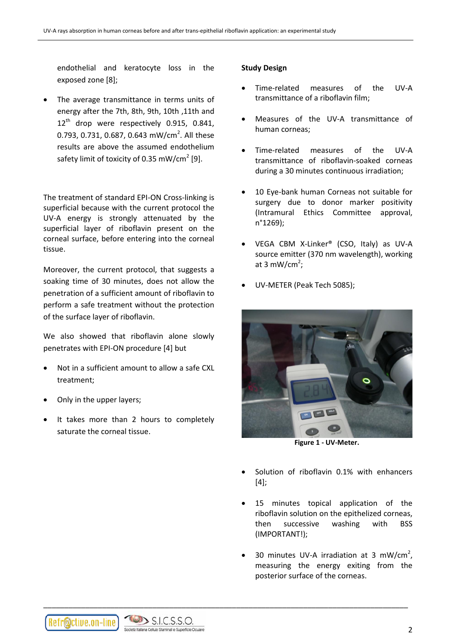endothelial and keratocyte loss in the exposed zone [8];

 The average transmittance in terms units of energy after the 7th, 8th, 9th, 10th ,11th and 12<sup>th</sup> drop were respectively 0.915, 0.841, 0.793, 0.731, 0.687, 0.643 mW/cm<sup>2</sup>. All these results are above the assumed endothelium safety limit of toxicity of 0.35 mW/cm<sup>2</sup> [9].

The treatment of standard EPI-ON Cross-linking is superficial because with the current protocol the UV-A energy is strongly attenuated by the superficial layer of riboflavin present on the corneal surface, before entering into the corneal tissue.

Moreover, the current protocol, that suggests a soaking time of 30 minutes, does not allow the penetration of a sufficient amount of riboflavin to perform a safe treatment without the protection of the surface layer of riboflavin.

We also showed that riboflavin alone slowly penetrates with EPI-ON procedure [4] but

- Not in a sufficient amount to allow a safe CXL treatment;
- Only in the upper layers;
- It takes more than 2 hours to completely saturate the corneal tissue.

## **Study Design**

- Time-related measures of the UV-A transmittance of a riboflavin film;
- Measures of the UV-A transmittance of human corneas;
- Time-related measures of the UV-A transmittance of riboflavin-soaked corneas during a 30 minutes continuous irradiation;
- 10 Eye-bank human Corneas not suitable for surgery due to donor marker positivity (Intramural Ethics Committee approval, n°1269);
- VEGA CBM X-Linker® (CSO, Italy) as UV-A source emitter (370 nm wavelength), working at 3 mW/cm<sup>2</sup>;
- UV-METER (Peak Tech 5085);



**Figure 1 - UV-Meter.**

- Solution of riboflavin 0.1% with enhancers [4];
- 15 minutes topical application of the riboflavin solution on the epithelized corneas, then successive washing with BSS (IMPORTANT!);
- 30 minutes UV-A irradiation at 3 mW/cm<sup>2</sup>, measuring the energy exiting from the posterior surface of the corneas.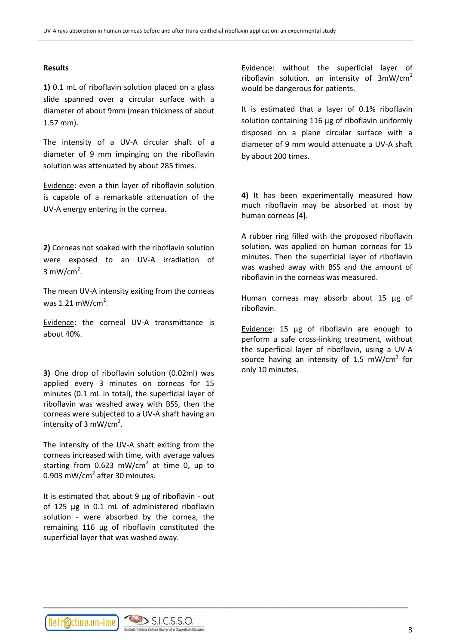### **Results**

**1)** 0.1 mL of riboflavin solution placed on a glass slide spanned over a circular surface with a diameter of about 9mm (mean thickness of about 1.57 mm).

The intensity of a UV-A circular shaft of a diameter of 9 mm impinging on the riboflavin solution was attenuated by about 285 times.

Evidence: even a thin layer of riboflavin solution is capable of a remarkable attenuation of the UV-A energy entering in the cornea.

**2)** Corneas not soaked with the riboflavin solution were exposed to an UV-A irradiation of  $3 \text{ mW/cm}^2$ .

The mean UV-A intensity exiting from the corneas was  $1.21 \text{ mW/cm}^2$ .

Evidence: the corneal UV-A transmittance is about 40%.

**3)** One drop of riboflavin solution (0.02ml) was applied every 3 minutes on corneas for 15 minutes (0.1 mL in total), the superficial layer of riboflavin was washed away with BSS, then the corneas were subjected to a UV-A shaft having an intensity of 3 mW/cm<sup>2</sup>.

The intensity of the UV-A shaft exiting from the corneas increased with time, with average values starting from  $0.623$  mW/cm<sup>2</sup> at time 0, up to 0.903 mW/cm<sup>2</sup> after 30 minutes.

It is estimated that about 9 µg of riboflavin - out of 125 µg in 0.1 mL of administered riboflavin solution - were absorbed by the cornea, the remaining 116 µg of riboflavin constituted the superficial layer that was washed away.

\_\_\_\_\_\_\_\_\_\_\_\_\_\_\_\_\_\_\_\_\_\_\_\_\_\_\_\_\_\_\_\_\_\_\_\_\_\_\_\_\_\_\_\_\_\_\_\_\_\_\_\_\_\_\_\_\_\_\_\_\_\_\_\_\_\_\_\_\_\_\_\_\_\_\_\_\_\_\_\_\_\_\_\_\_\_\_

Evidence: without the superficial layer of riboflavin solution, an intensity of  $3mW/cm<sup>2</sup>$ would be dangerous for patients.

It is estimated that a layer of 0.1% riboflavin solution containing 116 µg of riboflavin uniformly disposed on a plane circular surface with a diameter of 9 mm would attenuate a UV-A shaft by about 200 times.

**4)** It has been experimentally measured how much riboflavin may be absorbed at most by human corneas [4].

A rubber ring filled with the proposed riboflavin solution, was applied on human corneas for 15 minutes. Then the superficial layer of riboflavin was washed away with BSS and the amount of riboflavin in the corneas was measured.

Human corneas may absorb about 15 µg of riboflavin.

Evidence: 15 µg of riboflavin are enough to perform a safe cross-linking treatment, without the superficial layer of riboflavin, using a UV-A source having an intensity of 1.5 mW/cm<sup>2</sup> for only 10 minutes.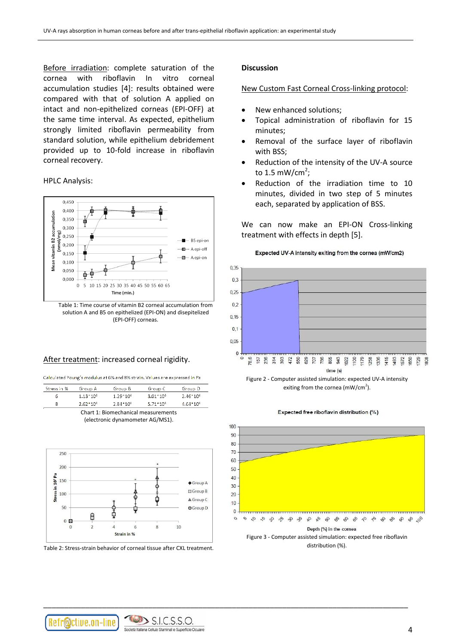Before irradiation: complete saturation of the cornea with riboflavin In vitro corneal accumulation studies [4]: results obtained were compared with that of solution A applied on intact and non-epithelized corneas (EPI-OFF) at the same time interval. As expected, epithelium strongly limited riboflavin permeability from standard solution, while epithelium debridement provided up to 10-fold increase in riboflavin corneal recovery.

HPLC Analysis:



#### After treatment: increased corneal rigidity.

Calculated Young's modulus at 6% and 8% strain. Values are expressed in Pa

| Stress in %                      | Group A         | Group B         | Group C                             | Group D         |  |  |  |  |  |  |
|----------------------------------|-----------------|-----------------|-------------------------------------|-----------------|--|--|--|--|--|--|
| 6                                | $1.13 - 10^{5}$ | $1.29 - 10^{5}$ | $3.01 - 10^5$                       | $2.46 - 10^6$   |  |  |  |  |  |  |
| 8                                | $2.62 - 10^{5}$ | $2.84 - 10^{5}$ | 5.71*10*                            | $4.64 - 10^{5}$ |  |  |  |  |  |  |
|                                  |                 |                 | Chart 1: Biomechanical measurements |                 |  |  |  |  |  |  |
| (electronic dynamometer AG/MS1). |                 |                 |                                     |                 |  |  |  |  |  |  |



Table 2: Stress-strain behavior of corneal tissue after CXL treatment.

#### **Discussion**

#### New Custom Fast Corneal Cross-linking protocol:

- New enhanced solutions;
- Topical administration of riboflavin for 15 minutes;
- Removal of the surface layer of riboflavin with BSS;
- Reduction of the intensity of the UV-A source to 1.5 mW/cm<sup>2</sup>;
- Reduction of the irradiation time to 10 minutes, divided in two step of 5 minutes each, separated by application of BSS.

We can now make an EPI-ON Cross-linking treatment with effects in depth [5].

Expected UV-A intensity exiting from the cornea (mW/cm2)





Expected free riboflavin distribution (%)



distribution (%).

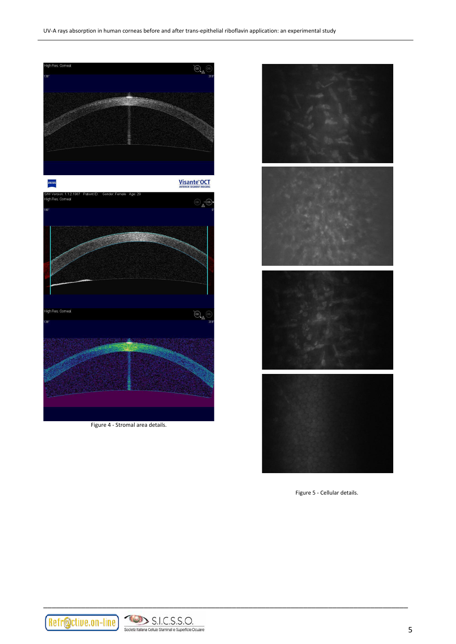

Figure 4 - Stromal area details.



Figure 5 - Cellular details.

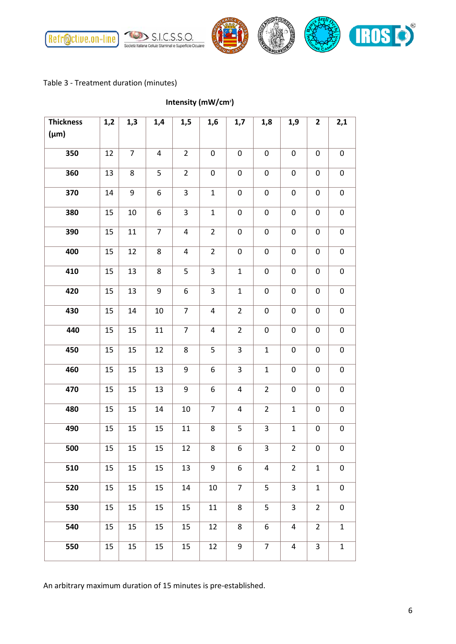

## Table 3 - Treatment duration (minutes)

**Intensity (mW/cm<sup>2</sup> )**

| <b>Thickness</b> | 1,2 | 1,3              | 1,4            | 1,5                     | 1,6              | 1,7              | 1,8            | 1,9              | $\overline{2}$ | 2,1              |
|------------------|-----|------------------|----------------|-------------------------|------------------|------------------|----------------|------------------|----------------|------------------|
| $(\mu m)$        |     |                  |                |                         |                  |                  |                |                  |                |                  |
| 350              | 12  | $\overline{7}$   | 4              | $\overline{2}$          | $\pmb{0}$        | $\pmb{0}$        | $\pmb{0}$      | $\pmb{0}$        | $\pmb{0}$      | $\pmb{0}$        |
| 360              | 13  | 8                | 5              | $\overline{2}$          | $\boldsymbol{0}$ | $\pmb{0}$        | $\pmb{0}$      | $\pmb{0}$        | $\pmb{0}$      | $\pmb{0}$        |
| 370              | 14  | $\boldsymbol{9}$ | 6              | 3                       | $\mathbf 1$      | $\boldsymbol{0}$ | 0              | $\pmb{0}$        | $\pmb{0}$      | $\pmb{0}$        |
| 380              | 15  | 10               | 6              | 3                       | $\mathbf 1$      | $\pmb{0}$        | $\pmb{0}$      | $\pmb{0}$        | $\pmb{0}$      | $\pmb{0}$        |
| 390              | 15  | 11               | $\overline{7}$ | $\overline{\mathbf{4}}$ | $\overline{2}$   | $\pmb{0}$        | $\pmb{0}$      | $\pmb{0}$        | $\pmb{0}$      | $\pmb{0}$        |
| 400              | 15  | 12               | 8              | 4                       | $\overline{2}$   | $\pmb{0}$        | 0              | $\pmb{0}$        | $\pmb{0}$      | $\pmb{0}$        |
| 410              | 15  | 13               | 8              | 5                       | 3                | $\mathbf 1$      | $\pmb{0}$      | 0                | $\pmb{0}$      | $\pmb{0}$        |
| 420              | 15  | 13               | 9              | 6                       | 3                | $\mathbf{1}$     | $\pmb{0}$      | $\boldsymbol{0}$ | $\mathbf 0$    | $\pmb{0}$        |
| 430              | 15  | 14               | 10             | $\overline{7}$          | $\overline{4}$   | $\overline{2}$   | 0              | $\pmb{0}$        | $\pmb{0}$      | $\pmb{0}$        |
| 440              | 15  | 15               | 11             | $\overline{7}$          | $\sqrt{4}$       | $\overline{2}$   | 0              | $\pmb{0}$        | $\pmb{0}$      | $\pmb{0}$        |
| 450              | 15  | 15               | 12             | 8                       | 5                | 3                | $\mathbf 1$    | $\pmb{0}$        | $\pmb{0}$      | $\pmb{0}$        |
| 460              | 15  | 15               | 13             | 9                       | 6                | 3                | $\mathbf 1$    | $\pmb{0}$        | $\pmb{0}$      | $\pmb{0}$        |
| 470              | 15  | 15               | 13             | 9                       | 6                | 4                | $\overline{2}$ | 0                | 0              | $\pmb{0}$        |
| 480              | 15  | 15               | 14             | 10                      | $\overline{7}$   | 4                | $\overline{2}$ | $\mathbf{1}$     | 0              | 0                |
| 490              | 15  | 15               | 15             | 11                      | 8                | 5                | 3              | $\mathbf{1}$     | $\pmb{0}$      | $\pmb{0}$        |
| 500              | 15  | 15               | 15             | 12                      | 8                | 6                | 3              | $\overline{2}$   | $\pmb{0}$      | $\pmb{0}$        |
| 510              | 15  | 15               | 15             | 13                      | 9                | 6                | 4              | $\overline{2}$   | $\mathbf{1}$   | $\boldsymbol{0}$ |
| 520              | 15  | 15               | 15             | 14                      | 10               | $\overline{7}$   | 5              | 3                | $\mathbf 1$    | $\pmb{0}$        |
| 530              | 15  | 15               | 15             | 15                      | 11               | 8                | 5              | $\mathsf{3}$     | $\overline{2}$ | $\pmb{0}$        |
| 540              | 15  | 15               | 15             | 15                      | 12               | 8                | 6              | $\overline{a}$   | $\overline{2}$ | $\mathbf{1}$     |
| 550              | 15  | 15               | 15             | 15                      | 12               | $\boldsymbol{9}$ | $\overline{7}$ | $\overline{4}$   | 3              | $\mathbf{1}$     |

An arbitrary maximum duration of 15 minutes is pre-established.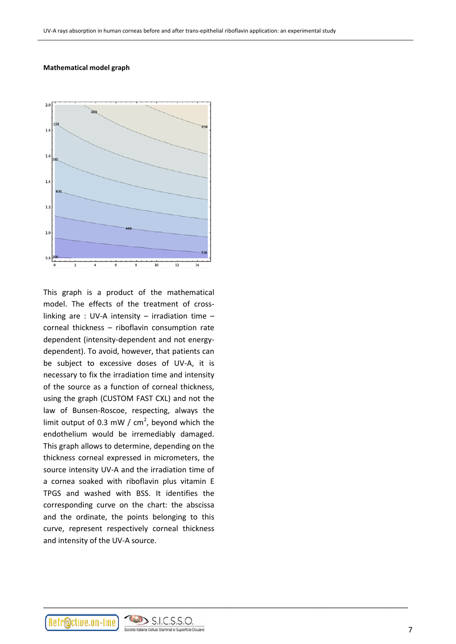#### **Mathematical model graph**



This graph is a product of the mathematical model. The effects of the treatment of crosslinking are : UV-A intensity – irradiation time – corneal thickness – riboflavin consumption rate dependent (intensity-dependent and not energydependent). To avoid, however, that patients can be subject to excessive doses of UV-A, it is necessary to fix the irradiation time and intensity of the source as a function of corneal thickness, using the graph (CUSTOM FAST CXL) and not the law of Bunsen-Roscoe, respecting, always the limit output of 0.3 mW /  $cm<sup>2</sup>$ , beyond which the endothelium would be irremediably damaged. This graph allows to determine, depending on the thickness corneal expressed in micrometers, the source intensity UV-A and the irradiation time of a cornea soaked with riboflavin plus vitamin E TPGS and washed with BSS. It identifies the corresponding curve on the chart: the abscissa and the ordinate, the points belonging to this curve, represent respectively corneal thickness and intensity of the UV-A source.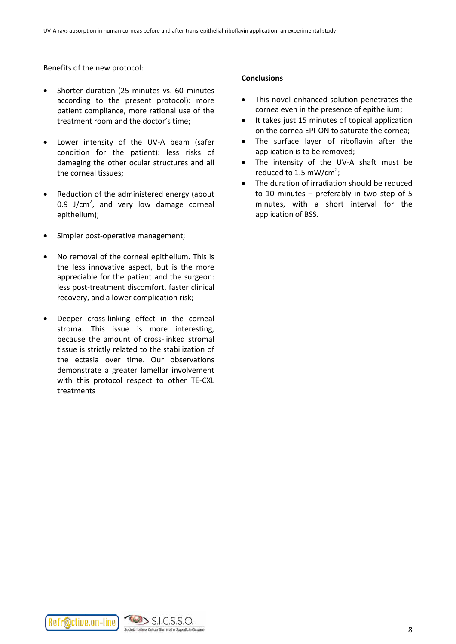#### Benefits of the new protocol:

- Shorter duration (25 minutes vs. 60 minutes according to the present protocol): more patient compliance, more rational use of the treatment room and the doctor's time;
- Lower intensity of the UV-A beam (safer condition for the patient): less risks of damaging the other ocular structures and all the corneal tissues;
- Reduction of the administered energy (about 0.9 J/cm<sup>2</sup>, and very low damage corneal epithelium);
- Simpler post-operative management;
- No removal of the corneal epithelium. This is the less innovative aspect, but is the more appreciable for the patient and the surgeon: less post-treatment discomfort, faster clinical recovery, and a lower complication risk;
- Deeper cross-linking effect in the corneal stroma. This issue is more interesting, because the amount of cross-linked stromal tissue is strictly related to the stabilization of the ectasia over time. Our observations demonstrate a greater lamellar involvement with this protocol respect to other TE-CXL treatments

#### **Conclusions**

- This novel enhanced solution penetrates the cornea even in the presence of epithelium;
- It takes just 15 minutes of topical application on the cornea EPI-ON to saturate the cornea;
- The surface layer of riboflavin after the application is to be removed;
- The intensity of the UV-A shaft must be reduced to 1.5 mW/cm<sup>2</sup>;
- The duration of irradiation should be reduced to 10 minutes – preferably in two step of 5 minutes, with a short interval for the application of BSS.